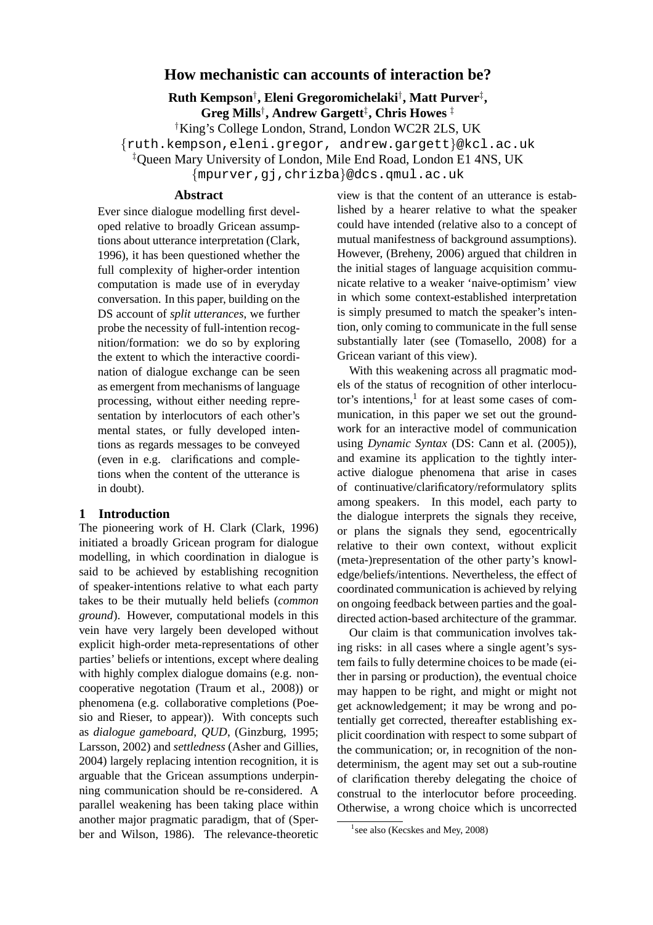# **How mechanistic can accounts of interaction be?**

**Ruth Kempson**† **, Eleni Gregoromichelaki**† **, Matt Purver**‡ **, Greg Mills**† **, Andrew Gargett**‡ **, Chris Howes** ‡

†King's College London, Strand, London WC2R 2LS, UK

{ruth.kempson,eleni.gregor, andrew.gargett}@kcl.ac.uk

‡Queen Mary University of London, Mile End Road, London E1 4NS, UK

{mpurver,gj,chrizba}@dcs.qmul.ac.uk

#### **Abstract**

Ever since dialogue modelling first developed relative to broadly Gricean assumptions about utterance interpretation (Clark, 1996), it has been questioned whether the full complexity of higher-order intention computation is made use of in everyday conversation. In this paper, building on the DS account of *split utterances*, we further probe the necessity of full-intention recognition/formation: we do so by exploring the extent to which the interactive coordination of dialogue exchange can be seen as emergent from mechanisms of language processing, without either needing representation by interlocutors of each other's mental states, or fully developed intentions as regards messages to be conveyed (even in e.g. clarifications and completions when the content of the utterance is in doubt).

### **1 Introduction**

The pioneering work of H. Clark (Clark, 1996) initiated a broadly Gricean program for dialogue modelling, in which coordination in dialogue is said to be achieved by establishing recognition of speaker-intentions relative to what each party takes to be their mutually held beliefs (*common ground*). However, computational models in this vein have very largely been developed without explicit high-order meta-representations of other parties' beliefs or intentions, except where dealing with highly complex dialogue domains (e.g. noncooperative negotation (Traum et al., 2008)) or phenomena (e.g. collaborative completions (Poesio and Rieser, to appear)). With concepts such as *dialogue gameboard*, *QUD*, (Ginzburg, 1995; Larsson, 2002) and *settledness* (Asher and Gillies, 2004) largely replacing intention recognition, it is arguable that the Gricean assumptions underpinning communication should be re-considered. A parallel weakening has been taking place within another major pragmatic paradigm, that of (Sperber and Wilson, 1986). The relevance-theoretic

view is that the content of an utterance is established by a hearer relative to what the speaker could have intended (relative also to a concept of mutual manifestness of background assumptions). However, (Breheny, 2006) argued that children in the initial stages of language acquisition communicate relative to a weaker 'naive-optimism' view in which some context-established interpretation is simply presumed to match the speaker's intention, only coming to communicate in the full sense substantially later (see (Tomasello, 2008) for a Gricean variant of this view).

With this weakening across all pragmatic models of the status of recognition of other interlocutor's intentions, $<sup>1</sup>$  for at least some cases of com-</sup> munication, in this paper we set out the groundwork for an interactive model of communication using *Dynamic Syntax* (DS: Cann et al. (2005)), and examine its application to the tightly interactive dialogue phenomena that arise in cases of continuative/clarificatory/reformulatory splits among speakers. In this model, each party to the dialogue interprets the signals they receive, or plans the signals they send, egocentrically relative to their own context, without explicit (meta-)representation of the other party's knowledge/beliefs/intentions. Nevertheless, the effect of coordinated communication is achieved by relying on ongoing feedback between parties and the goaldirected action-based architecture of the grammar.

Our claim is that communication involves taking risks: in all cases where a single agent's system fails to fully determine choices to be made (either in parsing or production), the eventual choice may happen to be right, and might or might not get acknowledgement; it may be wrong and potentially get corrected, thereafter establishing explicit coordination with respect to some subpart of the communication; or, in recognition of the nondeterminism, the agent may set out a sub-routine of clarification thereby delegating the choice of construal to the interlocutor before proceeding. Otherwise, a wrong choice which is uncorrected

<sup>&</sup>lt;sup>1</sup> see also (Kecskes and Mey, 2008)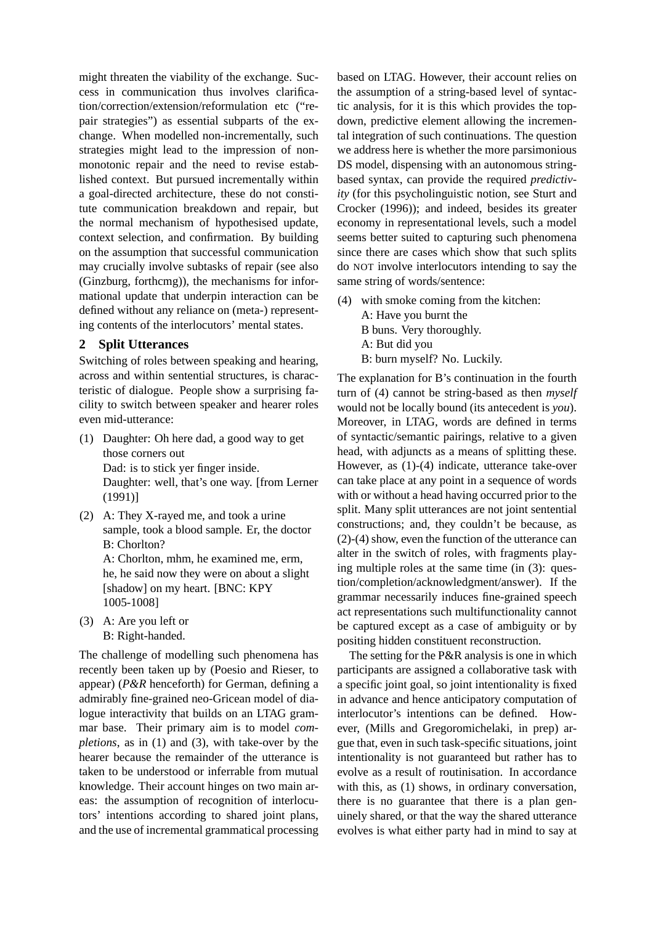might threaten the viability of the exchange. Success in communication thus involves clarification/correction/extension/reformulation etc ("repair strategies") as essential subparts of the exchange. When modelled non-incrementally, such strategies might lead to the impression of nonmonotonic repair and the need to revise established context. But pursued incrementally within a goal-directed architecture, these do not constitute communication breakdown and repair, but the normal mechanism of hypothesised update, context selection, and confirmation. By building on the assumption that successful communication may crucially involve subtasks of repair (see also (Ginzburg, forthcmg)), the mechanisms for informational update that underpin interaction can be defined without any reliance on (meta-) representing contents of the interlocutors' mental states.

### **2 Split Utterances**

Switching of roles between speaking and hearing, across and within sentential structures, is characteristic of dialogue. People show a surprising facility to switch between speaker and hearer roles even mid-utterance:

- (1) Daughter: Oh here dad, a good way to get those corners out Dad: is to stick yer finger inside. Daughter: well, that's one way. [from Lerner (1991)]
- (2) A: They X-rayed me, and took a urine sample, took a blood sample. Er, the doctor B: Chorlton?

A: Chorlton, mhm, he examined me, erm, he, he said now they were on about a slight [shadow] on my heart. [BNC: KPY 1005-1008]

(3) A: Are you left or B: Right-handed.

The challenge of modelling such phenomena has recently been taken up by (Poesio and Rieser, to appear) (*P&R* henceforth) for German, defining a admirably fine-grained neo-Gricean model of dialogue interactivity that builds on an LTAG grammar base. Their primary aim is to model *completions*, as in (1) and (3), with take-over by the hearer because the remainder of the utterance is taken to be understood or inferrable from mutual knowledge. Their account hinges on two main areas: the assumption of recognition of interlocutors' intentions according to shared joint plans, and the use of incremental grammatical processing based on LTAG. However, their account relies on the assumption of a string-based level of syntactic analysis, for it is this which provides the topdown, predictive element allowing the incremental integration of such continuations. The question we address here is whether the more parsimonious DS model, dispensing with an autonomous stringbased syntax, can provide the required *predictivity* (for this psycholinguistic notion, see Sturt and Crocker (1996)); and indeed, besides its greater economy in representational levels, such a model seems better suited to capturing such phenomena since there are cases which show that such splits do NOT involve interlocutors intending to say the same string of words/sentence:

(4) with smoke coming from the kitchen:

A: Have you burnt the B buns. Very thoroughly.

A: But did you B: burn myself? No. Luckily.

The explanation for B's continuation in the fourth turn of (4) cannot be string-based as then *myself* would not be locally bound (its antecedent is *you*). Moreover, in LTAG, words are defined in terms of syntactic/semantic pairings, relative to a given head, with adjuncts as a means of splitting these. However, as (1)-(4) indicate, utterance take-over can take place at any point in a sequence of words with or without a head having occurred prior to the split. Many split utterances are not joint sentential constructions; and, they couldn't be because, as (2)-(4) show, even the function of the utterance can alter in the switch of roles, with fragments playing multiple roles at the same time (in (3): question/completion/acknowledgment/answer). If the grammar necessarily induces fine-grained speech act representations such multifunctionality cannot be captured except as a case of ambiguity or by positing hidden constituent reconstruction.

The setting for the P&R analysis is one in which participants are assigned a collaborative task with a specific joint goal, so joint intentionality is fixed in advance and hence anticipatory computation of interlocutor's intentions can be defined. However, (Mills and Gregoromichelaki, in prep) argue that, even in such task-specific situations, joint intentionality is not guaranteed but rather has to evolve as a result of routinisation. In accordance with this, as (1) shows, in ordinary conversation, there is no guarantee that there is a plan genuinely shared, or that the way the shared utterance evolves is what either party had in mind to say at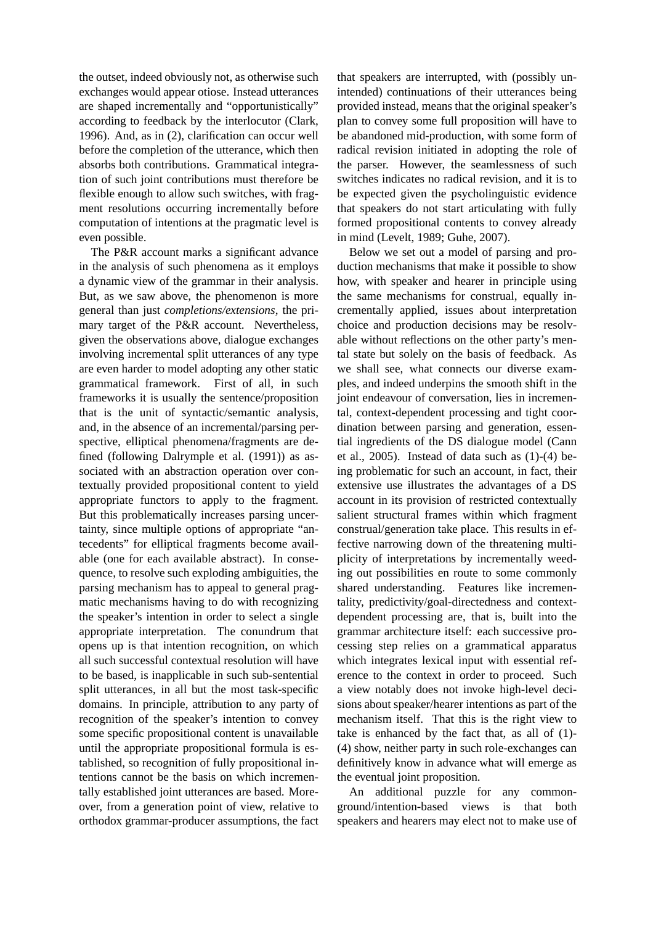the outset, indeed obviously not, as otherwise such exchanges would appear otiose. Instead utterances are shaped incrementally and "opportunistically" according to feedback by the interlocutor (Clark, 1996). And, as in (2), clarification can occur well before the completion of the utterance, which then absorbs both contributions. Grammatical integration of such joint contributions must therefore be flexible enough to allow such switches, with fragment resolutions occurring incrementally before computation of intentions at the pragmatic level is even possible.

The P&R account marks a significant advance in the analysis of such phenomena as it employs a dynamic view of the grammar in their analysis. But, as we saw above, the phenomenon is more general than just *completions/extensions*, the primary target of the P&R account. Nevertheless, given the observations above, dialogue exchanges involving incremental split utterances of any type are even harder to model adopting any other static grammatical framework. First of all, in such frameworks it is usually the sentence/proposition that is the unit of syntactic/semantic analysis, and, in the absence of an incremental/parsing perspective, elliptical phenomena/fragments are defined (following Dalrymple et al. (1991)) as associated with an abstraction operation over contextually provided propositional content to yield appropriate functors to apply to the fragment. But this problematically increases parsing uncertainty, since multiple options of appropriate "antecedents" for elliptical fragments become available (one for each available abstract). In consequence, to resolve such exploding ambiguities, the parsing mechanism has to appeal to general pragmatic mechanisms having to do with recognizing the speaker's intention in order to select a single appropriate interpretation. The conundrum that opens up is that intention recognition, on which all such successful contextual resolution will have to be based, is inapplicable in such sub-sentential split utterances, in all but the most task-specific domains. In principle, attribution to any party of recognition of the speaker's intention to convey some specific propositional content is unavailable until the appropriate propositional formula is established, so recognition of fully propositional intentions cannot be the basis on which incrementally established joint utterances are based. Moreover, from a generation point of view, relative to orthodox grammar-producer assumptions, the fact that speakers are interrupted, with (possibly unintended) continuations of their utterances being provided instead, means that the original speaker's plan to convey some full proposition will have to be abandoned mid-production, with some form of radical revision initiated in adopting the role of the parser. However, the seamlessness of such switches indicates no radical revision, and it is to be expected given the psycholinguistic evidence that speakers do not start articulating with fully formed propositional contents to convey already in mind (Levelt, 1989; Guhe, 2007).

Below we set out a model of parsing and production mechanisms that make it possible to show how, with speaker and hearer in principle using the same mechanisms for construal, equally incrementally applied, issues about interpretation choice and production decisions may be resolvable without reflections on the other party's mental state but solely on the basis of feedback. As we shall see, what connects our diverse examples, and indeed underpins the smooth shift in the joint endeavour of conversation, lies in incremental, context-dependent processing and tight coordination between parsing and generation, essential ingredients of the DS dialogue model (Cann et al.,  $2005$ ). Instead of data such as  $(1)-(4)$  being problematic for such an account, in fact, their extensive use illustrates the advantages of a DS account in its provision of restricted contextually salient structural frames within which fragment construal/generation take place. This results in effective narrowing down of the threatening multiplicity of interpretations by incrementally weeding out possibilities en route to some commonly shared understanding. Features like incrementality, predictivity/goal-directedness and contextdependent processing are, that is, built into the grammar architecture itself: each successive processing step relies on a grammatical apparatus which integrates lexical input with essential reference to the context in order to proceed. Such a view notably does not invoke high-level decisions about speaker/hearer intentions as part of the mechanism itself. That this is the right view to take is enhanced by the fact that, as all of (1)- (4) show, neither party in such role-exchanges can definitively know in advance what will emerge as the eventual joint proposition.

An additional puzzle for any commonground/intention-based views is that both speakers and hearers may elect not to make use of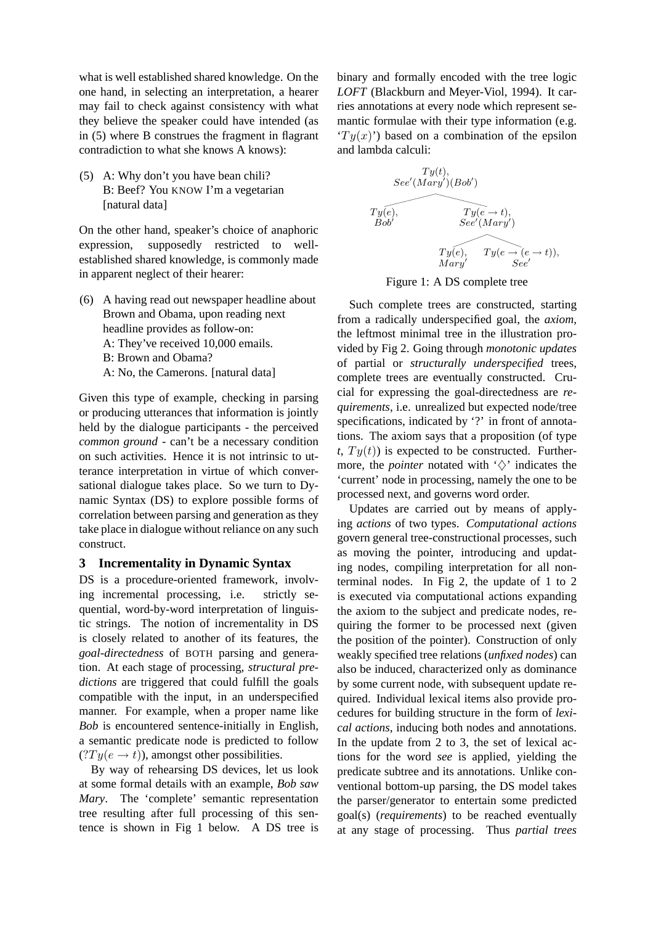what is well established shared knowledge. On the one hand, in selecting an interpretation, a hearer may fail to check against consistency with what they believe the speaker could have intended (as in (5) where B construes the fragment in flagrant contradiction to what she knows A knows):

(5) A: Why don't you have bean chili? B: Beef? You KNOW I'm a vegetarian [natural data]

On the other hand, speaker's choice of anaphoric expression, supposedly restricted to wellestablished shared knowledge, is commonly made in apparent neglect of their hearer:

(6) A having read out newspaper headline about Brown and Obama, upon reading next headline provides as follow-on: A: They've received 10,000 emails. B: Brown and Obama? A: No, the Camerons. [natural data]

Given this type of example, checking in parsing or producing utterances that information is jointly held by the dialogue participants - the perceived *common ground* - can't be a necessary condition on such activities. Hence it is not intrinsic to utterance interpretation in virtue of which conversational dialogue takes place. So we turn to Dynamic Syntax (DS) to explore possible forms of correlation between parsing and generation as they take place in dialogue without reliance on any such construct.

## **3 Incrementality in Dynamic Syntax**

DS is a procedure-oriented framework, involving incremental processing, i.e. strictly sequential, word-by-word interpretation of linguistic strings. The notion of incrementality in DS is closely related to another of its features, the *goal-directedness* of BOTH parsing and generation. At each stage of processing, *structural predictions* are triggered that could fulfill the goals compatible with the input, in an underspecified manner. For example, when a proper name like *Bob* is encountered sentence-initially in English, a semantic predicate node is predicted to follow  $(Ty(e \rightarrow t))$ , amongst other possibilities.

By way of rehearsing DS devices, let us look at some formal details with an example, *Bob saw Mary*. The 'complete' semantic representation tree resulting after full processing of this sentence is shown in Fig 1 below. A DS tree is binary and formally encoded with the tree logic *LOFT* (Blackburn and Meyer-Viol, 1994). It carries annotations at every node which represent semantic formulae with their type information (e.g.  $(Ty(x))$  based on a combination of the epsilon and lambda calculi:



Figure 1: A DS complete tree

Such complete trees are constructed, starting from a radically underspecified goal, the *axiom*, the leftmost minimal tree in the illustration provided by Fig 2. Going through *monotonic updates* of partial or *structurally underspecified* trees, complete trees are eventually constructed. Crucial for expressing the goal-directedness are *requirements*, i.e. unrealized but expected node/tree specifications, indicated by '?' in front of annotations. The axiom says that a proposition (of type  $t, Ty(t)$  is expected to be constructed. Furthermore, the *pointer* notated with  $\langle \rangle$  indicates the 'current' node in processing, namely the one to be processed next, and governs word order.

Updates are carried out by means of applying *actions* of two types. *Computational actions* govern general tree-constructional processes, such as moving the pointer, introducing and updating nodes, compiling interpretation for all nonterminal nodes. In Fig 2, the update of 1 to 2 is executed via computational actions expanding the axiom to the subject and predicate nodes, requiring the former to be processed next (given the position of the pointer). Construction of only weakly specified tree relations (*unfixed nodes*) can also be induced, characterized only as dominance by some current node, with subsequent update required. Individual lexical items also provide procedures for building structure in the form of *lexical actions*, inducing both nodes and annotations. In the update from 2 to 3, the set of lexical actions for the word *see* is applied, yielding the predicate subtree and its annotations. Unlike conventional bottom-up parsing, the DS model takes the parser/generator to entertain some predicted goal(s) (*requirements*) to be reached eventually at any stage of processing. Thus *partial trees*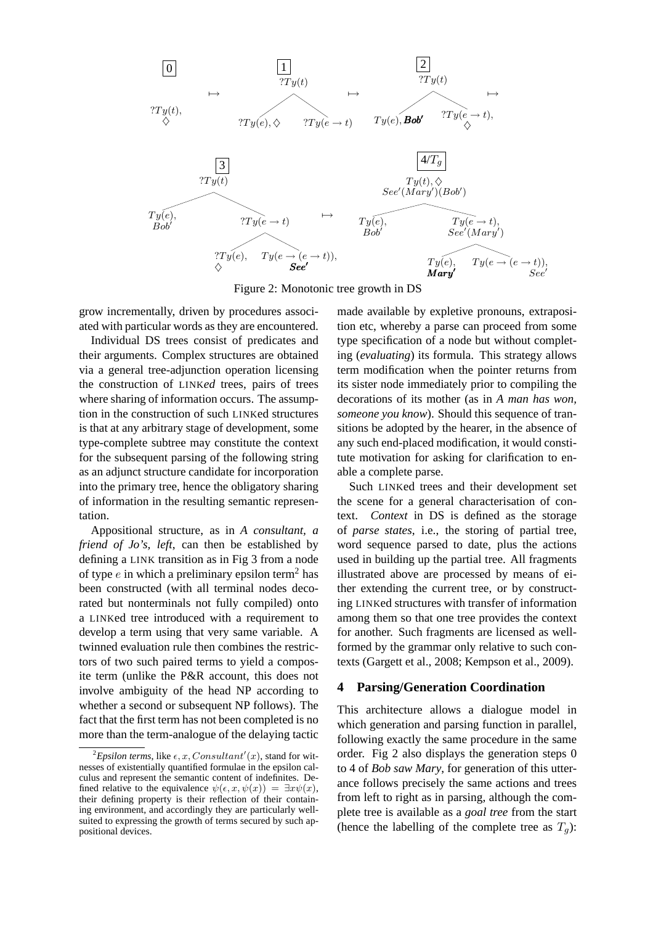

Figure 2: Monotonic tree growth in DS

grow incrementally, driven by procedures associated with particular words as they are encountered.

Individual DS trees consist of predicates and their arguments. Complex structures are obtained via a general tree-adjunction operation licensing the construction of LINK*ed* trees, pairs of trees where sharing of information occurs. The assumption in the construction of such LINKed structures is that at any arbitrary stage of development, some type-complete subtree may constitute the context for the subsequent parsing of the following string as an adjunct structure candidate for incorporation into the primary tree, hence the obligatory sharing of information in the resulting semantic representation.

Appositional structure, as in *A consultant, a friend of Jo's, left*, can then be established by defining a LINK transition as in Fig 3 from a node of type  $e$  in which a preliminary epsilon term<sup>2</sup> has been constructed (with all terminal nodes decorated but nonterminals not fully compiled) onto a LINKed tree introduced with a requirement to develop a term using that very same variable. A twinned evaluation rule then combines the restrictors of two such paired terms to yield a composite term (unlike the P&R account, this does not involve ambiguity of the head NP according to whether a second or subsequent NP follows). The fact that the first term has not been completed is no more than the term-analogue of the delaying tactic made available by expletive pronouns, extraposition etc, whereby a parse can proceed from some type specification of a node but without completing (*evaluating*) its formula. This strategy allows term modification when the pointer returns from its sister node immediately prior to compiling the decorations of its mother (as in *A man has won, someone you know*). Should this sequence of transitions be adopted by the hearer, in the absence of any such end-placed modification, it would constitute motivation for asking for clarification to enable a complete parse.

Such LINKed trees and their development set the scene for a general characterisation of context. *Context* in DS is defined as the storage of *parse states*, i.e., the storing of partial tree, word sequence parsed to date, plus the actions used in building up the partial tree. All fragments illustrated above are processed by means of either extending the current tree, or by constructing LINKed structures with transfer of information among them so that one tree provides the context for another. Such fragments are licensed as wellformed by the grammar only relative to such contexts (Gargett et al., 2008; Kempson et al., 2009).

### **4 Parsing/Generation Coordination**

This architecture allows a dialogue model in which generation and parsing function in parallel, following exactly the same procedure in the same order. Fig 2 also displays the generation steps 0 to 4 of *Bob saw Mary*, for generation of this utterance follows precisely the same actions and trees from left to right as in parsing, although the complete tree is available as a *goal tree* from the start (hence the labelling of the complete tree as  $T_q$ ):

<sup>&</sup>lt;sup>2</sup>Epsilon terms, like  $\epsilon$ , x, Consultant'(x), stand for witnesses of existentially quantified formulae in the epsilon calculus and represent the semantic content of indefinites. Defined relative to the equivalence  $\psi(\epsilon, x, \psi(x)) = \exists x \psi(x)$ , their defining property is their reflection of their containing environment, and accordingly they are particularly wellsuited to expressing the growth of terms secured by such appositional devices.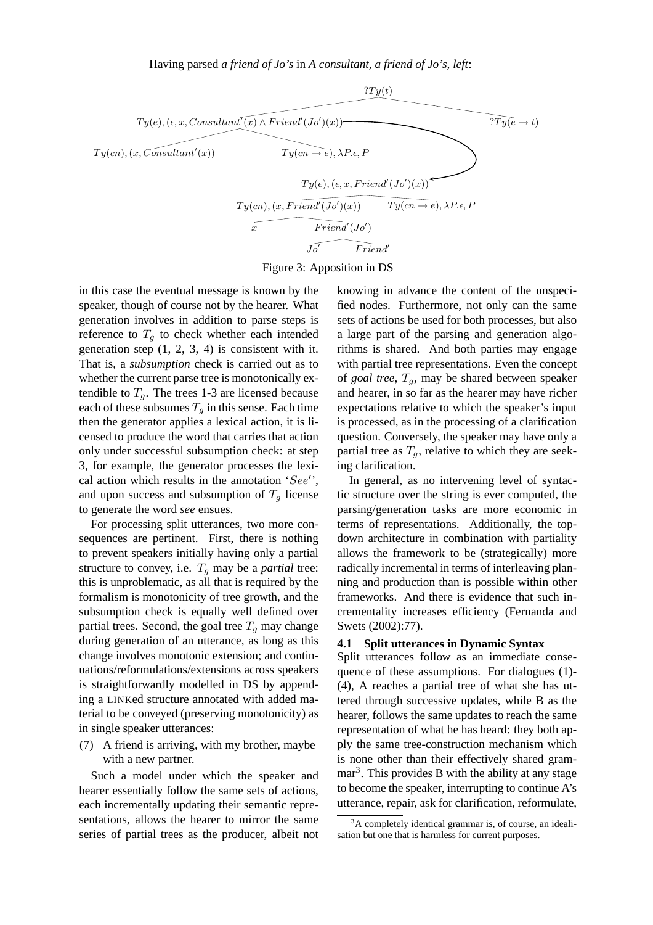Having parsed *a friend of Jo's* in *A consultant, a friend of Jo's, left*:



Figure 3: Apposition in DS

in this case the eventual message is known by the speaker, though of course not by the hearer. What generation involves in addition to parse steps is reference to  $T<sub>q</sub>$  to check whether each intended generation step  $(1, 2, 3, 4)$  is consistent with it. That is, a *subsumption* check is carried out as to whether the current parse tree is monotonically extendible to  $T_a$ . The trees 1-3 are licensed because each of these subsumes  $T_q$  in this sense. Each time then the generator applies a lexical action, it is licensed to produce the word that carries that action only under successful subsumption check: at step 3, for example, the generator processes the lexical action which results in the annotation 'See'', and upon success and subsumption of  $T<sub>q</sub>$  license to generate the word *see* ensues.

For processing split utterances, two more consequences are pertinent. First, there is nothing to prevent speakers initially having only a partial structure to convey, i.e.  $T_q$  may be a *partial* tree: this is unproblematic, as all that is required by the formalism is monotonicity of tree growth, and the subsumption check is equally well defined over partial trees. Second, the goal tree  $T_q$  may change during generation of an utterance, as long as this change involves monotonic extension; and continuations/reformulations/extensions across speakers is straightforwardly modelled in DS by appending a LINKed structure annotated with added material to be conveyed (preserving monotonicity) as in single speaker utterances:

(7) A friend is arriving, with my brother, maybe with a new partner.

Such a model under which the speaker and hearer essentially follow the same sets of actions, each incrementally updating their semantic representations, allows the hearer to mirror the same series of partial trees as the producer, albeit not knowing in advance the content of the unspecified nodes. Furthermore, not only can the same sets of actions be used for both processes, but also a large part of the parsing and generation algorithms is shared. And both parties may engage with partial tree representations. Even the concept of *goal tree*,  $T_a$ , may be shared between speaker and hearer, in so far as the hearer may have richer expectations relative to which the speaker's input is processed, as in the processing of a clarification question. Conversely, the speaker may have only a partial tree as  $T_q$ , relative to which they are seeking clarification.

In general, as no intervening level of syntactic structure over the string is ever computed, the parsing/generation tasks are more economic in terms of representations. Additionally, the topdown architecture in combination with partiality allows the framework to be (strategically) more radically incremental in terms of interleaving planning and production than is possible within other frameworks. And there is evidence that such incrementality increases efficiency (Fernanda and Swets (2002):77).

### **4.1 Split utterances in Dynamic Syntax**

Split utterances follow as an immediate consequence of these assumptions. For dialogues (1)- (4), A reaches a partial tree of what she has uttered through successive updates, while B as the hearer, follows the same updates to reach the same representation of what he has heard: they both apply the same tree-construction mechanism which is none other than their effectively shared grammar<sup>3</sup>. This provides B with the ability at any stage to become the speaker, interrupting to continue A's utterance, repair, ask for clarification, reformulate,

 $3A$  completely identical grammar is, of course, an idealisation but one that is harmless for current purposes.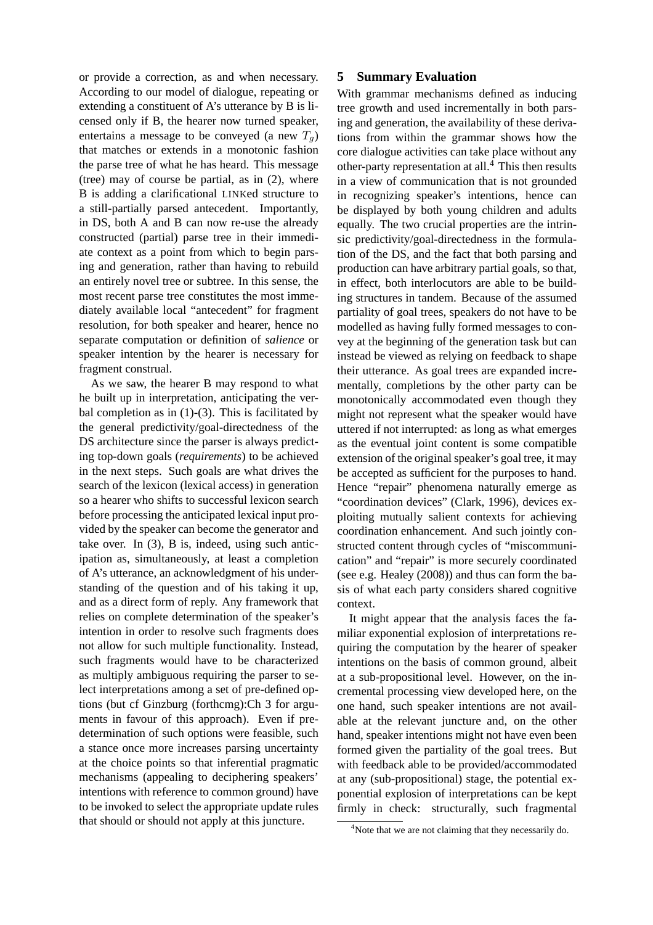or provide a correction, as and when necessary. According to our model of dialogue, repeating or extending a constituent of A's utterance by B is licensed only if B, the hearer now turned speaker, entertains a message to be conveyed (a new  $T_q$ ) that matches or extends in a monotonic fashion the parse tree of what he has heard. This message (tree) may of course be partial, as in (2), where B is adding a clarificational LINKed structure to a still-partially parsed antecedent. Importantly, in DS, both A and B can now re-use the already constructed (partial) parse tree in their immediate context as a point from which to begin parsing and generation, rather than having to rebuild an entirely novel tree or subtree. In this sense, the most recent parse tree constitutes the most immediately available local "antecedent" for fragment resolution, for both speaker and hearer, hence no separate computation or definition of *salience* or speaker intention by the hearer is necessary for fragment construal.

As we saw, the hearer B may respond to what he built up in interpretation, anticipating the verbal completion as in  $(1)-(3)$ . This is facilitated by the general predictivity/goal-directedness of the DS architecture since the parser is always predicting top-down goals (*requirements*) to be achieved in the next steps. Such goals are what drives the search of the lexicon (lexical access) in generation so a hearer who shifts to successful lexicon search before processing the anticipated lexical input provided by the speaker can become the generator and take over. In (3), B is, indeed, using such anticipation as, simultaneously, at least a completion of A's utterance, an acknowledgment of his understanding of the question and of his taking it up, and as a direct form of reply. Any framework that relies on complete determination of the speaker's intention in order to resolve such fragments does not allow for such multiple functionality. Instead, such fragments would have to be characterized as multiply ambiguous requiring the parser to select interpretations among a set of pre-defined options (but cf Ginzburg (forthcmg):Ch 3 for arguments in favour of this approach). Even if predetermination of such options were feasible, such a stance once more increases parsing uncertainty at the choice points so that inferential pragmatic mechanisms (appealing to deciphering speakers' intentions with reference to common ground) have to be invoked to select the appropriate update rules that should or should not apply at this juncture.

### **5 Summary Evaluation**

With grammar mechanisms defined as inducing tree growth and used incrementally in both parsing and generation, the availability of these derivations from within the grammar shows how the core dialogue activities can take place without any other-party representation at all.<sup>4</sup> This then results in a view of communication that is not grounded in recognizing speaker's intentions, hence can be displayed by both young children and adults equally. The two crucial properties are the intrinsic predictivity/goal-directedness in the formulation of the DS, and the fact that both parsing and production can have arbitrary partial goals, so that, in effect, both interlocutors are able to be building structures in tandem. Because of the assumed partiality of goal trees, speakers do not have to be modelled as having fully formed messages to convey at the beginning of the generation task but can instead be viewed as relying on feedback to shape their utterance. As goal trees are expanded incrementally, completions by the other party can be monotonically accommodated even though they might not represent what the speaker would have uttered if not interrupted: as long as what emerges as the eventual joint content is some compatible extension of the original speaker's goal tree, it may be accepted as sufficient for the purposes to hand. Hence "repair" phenomena naturally emerge as "coordination devices" (Clark, 1996), devices exploiting mutually salient contexts for achieving coordination enhancement. And such jointly constructed content through cycles of "miscommunication" and "repair" is more securely coordinated (see e.g. Healey (2008)) and thus can form the basis of what each party considers shared cognitive context.

It might appear that the analysis faces the familiar exponential explosion of interpretations requiring the computation by the hearer of speaker intentions on the basis of common ground, albeit at a sub-propositional level. However, on the incremental processing view developed here, on the one hand, such speaker intentions are not available at the relevant juncture and, on the other hand, speaker intentions might not have even been formed given the partiality of the goal trees. But with feedback able to be provided/accommodated at any (sub-propositional) stage, the potential exponential explosion of interpretations can be kept firmly in check: structurally, such fragmental

<sup>&</sup>lt;sup>4</sup>Note that we are not claiming that they necessarily do.